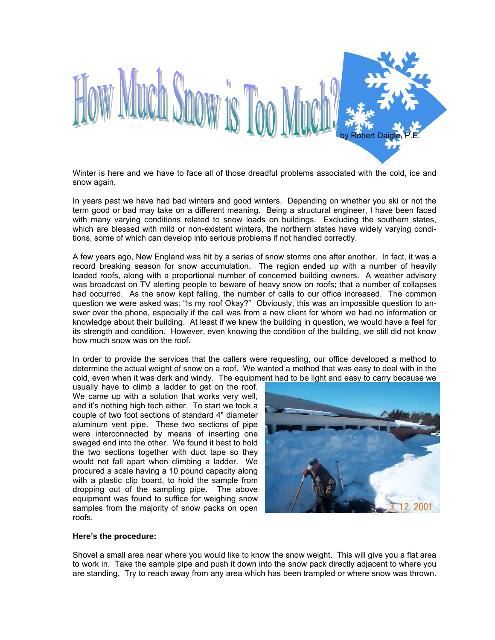

Winter is here and we have to face all of those dreadful problems associated with the cold, ice and snow again.

In years past we have had bad winters and good winters. Depending on whether you ski or not the term good or bad may take on a different meaning. Being a structural engineer, I have been faced with many varying conditions related to snow loads on buildings. Excluding the southern states, which are blessed with mild or non-existent winters, the northern states have widely varying conditions, some of which can develop into serious problems if not handled correctly.

A few years ago, New England was hit by a series of snow storms one after another. In fact, it was a record breaking season for snow accumulation. The region ended up with a number of heavily loaded roofs, along with a proportional number of concerned building owners. A weather advisory was broadcast on TV alerting people to beware of heavy snow on roofs; that a number of collapses had occurred. As the snow kept falling, the number of calls to our office increased. The common question we were asked was: "Is my roof Okay?" Obviously, this was an impossible question to answer over the phone, especially if the call was from a new client for whom we had no information or knowledge about their building. At least if we knew the building in question, we would have a feel for its strength and condition. However, even knowing the condition of the building, we still did not know how much snow was on the roof.

In order to provide the services that the callers were requesting, our office developed a method to determine the actual weight of snow on a roof. We wanted a method that was easy to deal with in the cold, even when it was dark and windy. The equipment had to be light and easy to carry because we

usually have to climb a ladder to get on the roof. We came up with a solution that works very well, and it's nothing high tech either. To start we took a couple of two foot sections of standard 4" diameter aluminum vent pipe. These two sections of pipe were interconnected by means of inserting one swaged end into the other. We found it best to hold the two sections together with duct tape so they would not fall apart when climbing a ladder. We procured a scale having a 10 pound capacity along with a plastic clip board, to hold the sample from dropping out of the sampling pipe. The above equipment was found to suffice for weighing snow samples from the majority of snow packs on open roofs.



#### **Here's the procedure:**

Shovel a small area near where you would like to know the snow weight. This will give you a flat area to work in. Take the sample pipe and push it down into the snow pack directly adjacent to where you are standing. Try to reach away from any area which has been trampled or where snow was thrown.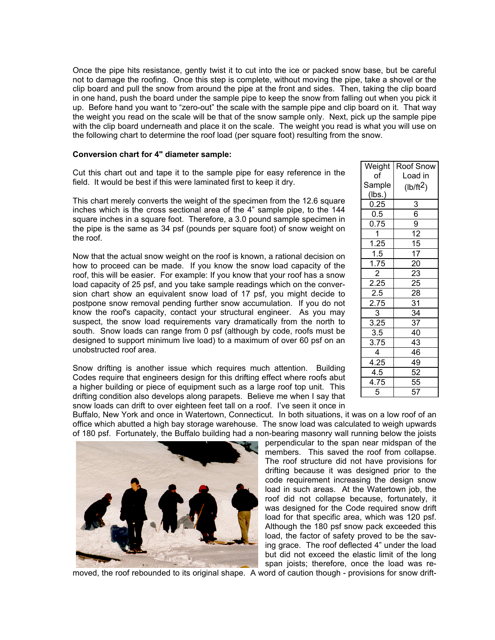Once the pipe hits resistance, gently twist it to cut into the ice or packed snow base, but be careful not to damage the roofing. Once this step is complete, without moving the pipe, take a shovel or the clip board and pull the snow from around the pipe at the front and sides. Then, taking the clip board in one hand, push the board under the sample pipe to keep the snow from falling out when you pick it up. Before hand you want to "zero-out" the scale with the sample pipe and clip board on it. That way the weight you read on the scale will be that of the snow sample only. Next, pick up the sample pipe with the clip board underneath and place it on the scale. The weight you read is what you will use on the following chart to determine the roof load (per square foot) resulting from the snow.

### **Conversion chart for 4" diameter sample:**

Cut this chart out and tape it to the sample pipe for easy reference in the field. It would be best if this were laminated first to keep it dry.

This chart merely converts the weight of the specimen from the 12.6 square inches which is the cross sectional area of the 4" sample pipe, to the 144 square inches in a square foot. Therefore, a 3.0 pound sample specimen in the pipe is the same as 34 psf (pounds per square foot) of snow weight on the roof.

Now that the actual snow weight on the roof is known, a rational decision on how to proceed can be made. If you know the snow load capacity of the roof, this will be easier. For example: If you know that your roof has a snow load capacity of 25 psf, and you take sample readings which on the conversion chart show an equivalent snow load of 17 psf, you might decide to postpone snow removal pending further snow accumulation. If you do not know the roof's capacity, contact your structural engineer. As you may suspect, the snow load requirements vary dramatically from the north to south. Snow loads can range from 0 psf (although by code, roofs must be designed to support minimum live load) to a maximum of over 60 psf on an unobstructed roof area.

Snow drifting is another issue which requires much attention. Building Codes require that engineers design for this drifting effect where roofs abut a higher building or piece of equipment such as a large roof top unit. This drifting condition also develops along parapets. Believe me when I say that snow loads can drift to over eighteen feet tall on a roof. I've seen it once in

| Weight                                 | Roof Snow             |
|----------------------------------------|-----------------------|
| of                                     | Load in               |
| Sample                                 | (lb/ft <sup>2</sup> ) |
|                                        |                       |
| $\frac{(\text{lbs.})}{0.25}$           |                       |
|                                        | $\frac{3}{6}$         |
| 0.75                                   |                       |
| $\overline{1}$                         | $\overline{12}$       |
| $\frac{1.25}{1.5}$                     | $\frac{15}{17}$       |
|                                        |                       |
| $\frac{1.75}{2.25}$ $\frac{2.25}{2.5}$ | $\frac{20}{23}$       |
|                                        |                       |
|                                        |                       |
|                                        | $\frac{25}{28}$       |
|                                        | $\overline{31}$       |
|                                        | $\overline{34}$       |
| $\frac{2.75}{3}$ $\frac{3.25}{3.25}$   | 37                    |
|                                        | $\overline{40}$       |
| $\frac{1}{3.5}$<br>3.75                | $\overline{43}$       |
| $\overline{4}$                         | 46                    |
| 4.25                                   | 49                    |
| $\overline{4.5}$                       | 52                    |
| $\overline{4.75}$                      | $\overline{55}$       |
| 5                                      | 57                    |

Buffalo, New York and once in Watertown, Connecticut. In both situations, it was on a low roof of an office which abutted a high bay storage warehouse. The snow load was calculated to weigh upwards of 180 psf. Fortunately, the Buffalo building had a non-bearing masonry wall running below the joists



perpendicular to the span near midspan of the members. This saved the roof from collapse. The roof structure did not have provisions for drifting because it was designed prior to the code requirement increasing the design snow load in such areas. At the Watertown job, the roof did not collapse because, fortunately, it was designed for the Code required snow drift load for that specific area, which was 120 psf. Although the 180 psf snow pack exceeded this load, the factor of safety proved to be the saving grace. The roof deflected 4" under the load but did not exceed the elastic limit of the long span joists; therefore, once the load was re-

moved, the roof rebounded to its original shape. A word of caution though - provisions for snow drift-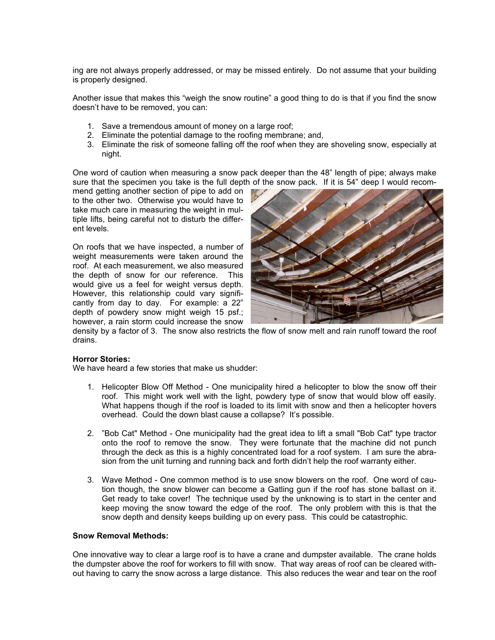ing are not always properly addressed, or may be missed entirely. Do not assume that your building is properly designed.

Another issue that makes this "weigh the snow routine" a good thing to do is that if you find the snow doesn't have to be removed, you can:

- 1. Save a tremendous amount of money on a large roof;
- 2. Eliminate the potential damage to the roofing membrane; and,
- 3. Eliminate the risk of someone falling off the roof when they are shoveling snow, especially at night.

One word of caution when measuring a snow pack deeper than the 48" length of pipe; always make sure that the specimen you take is the full depth of the snow pack. If it is 54" deep I would recom-

mend getting another section of pipe to add on to the other two. Otherwise you would have to take much care in measuring the weight in multiple lifts, being careful not to disturb the different levels.

On roofs that we have inspected, a number of weight measurements were taken around the roof. At each measurement, we also measured the depth of snow for our reference. This would give us a feel for weight versus depth. However, this relationship could vary significantly from day to day. For example: a 22" depth of powdery snow might weigh 15 psf.; however, a rain storm could increase the snow



density by a factor of 3. The snow also restricts the flow of snow melt and rain runoff toward the roof drains.

# **Horror Stories:**

We have heard a few stories that make us shudder:

- 1. Helicopter Blow Off Method One municipality hired a helicopter to blow the snow off their roof. This might work well with the light, powdery type of snow that would blow off easily. What happens though if the roof is loaded to its limit with snow and then a helicopter hovers overhead. Could the down blast cause a collapse? It's possible.
- 2. "Bob Cat" Method One municipality had the great idea to lift a small "Bob Cat" type tractor onto the roof to remove the snow. They were fortunate that the machine did not punch through the deck as this is a highly concentrated load for a roof system. I am sure the abrasion from the unit turning and running back and forth didn't help the roof warranty either.
- 3. Wave Method One common method is to use snow blowers on the roof. One word of caution though, the snow blower can become a Gatling gun if the roof has stone ballast on it. Get ready to take cover! The technique used by the unknowing is to start in the center and keep moving the snow toward the edge of the roof. The only problem with this is that the snow depth and density keeps building up on every pass. This could be catastrophic.

#### **Snow Removal Methods:**

One innovative way to clear a large roof is to have a crane and dumpster available. The crane holds the dumpster above the roof for workers to fill with snow. That way areas of roof can be cleared without having to carry the snow across a large distance. This also reduces the wear and tear on the roof